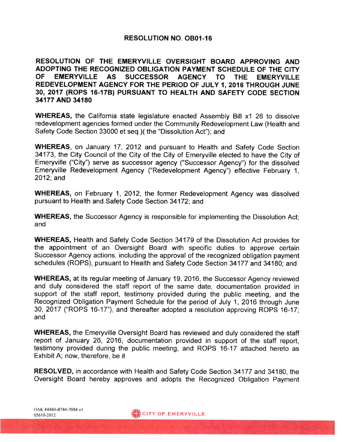## **RESOLUTION NO. OB01-16**

RESOLUTION OF THE EMERYVILLE OVERSIGHT BOARD APPROVING AND ADOPTING THE RECOGNIZED OBLIGATION PAYMENT SCHEDULE OF THE CITY **OF EMERYVILLE AS SUCCESSOR AGENCY TO** THE. **EMERYVILLE** REDEVELOPMENT AGENCY FOR THE PERIOD OF JULY 1, 2016 THROUGH JUNE 30, 2017 (ROPS 16-17B) PURSUANT TO HEALTH AND SAFETY CODE SECTION 34177 AND 34180

**WHEREAS**, the California state legislature enacted Assembly Bill x1 26 to dissolve redevelopment agencies formed under the Community Redevelopment Law (Health and Safety Code Section 33000 et seq.)( the "Dissolution Act"); and

**WHEREAS, on January 17, 2012 and pursuant to Health and Safety Code Section** 34173, the City Council of the City of the City of Emeryville elected to have the City of Emeryville ("City") serve as successor agency ("Successor Agency") for the dissolved Emeryville Redevelopment Agency ("Redevelopment Agency") effective February 1.  $2012$ ; and

**WHEREAS,** on February 1, 2012, the former Redevelopment Agency was dissolved pursuant to Health and Safety Code Section 34172; and

**WHEREAS, the Successor Agency is responsible for implementing the Dissolution Act:** and

**WHEREAS, Health and Safety Code Section 34179 of the Dissolution Act provides for** the appointment of an Oversight Board with specific duties to approve certain Successor Agency actions, including the approval of the recognized obligation payment schedules (ROPS), pursuant to Health and Safety Code Section 34177 and 34180; and

**WHEREAS, at its regular meeting of January 19, 2016, the Successor Agency reviewed** and duly considered the staff report of the same date, documentation provided in support of the staff report, testimony provided during the public meeting, and the Recognized Obligation Payment Schedule for the period of July 1, 2016 through June 30, 2017 ("ROPS 16-17"), and thereafter adopted a resolution approving ROPS 16-17; and

**WHEREAS,** the Emeryville Oversight Board has reviewed and duly considered the staff report of January 26, 2016, documentation provided in support of the staff report, testimony provided during the public meeting, and ROPS 16-17 attached hereto as Exhibit A; now, therefore, be it

**RESOLVED, in accordance with Health and Safety Code Section 34177 and 34180, the** Oversight Board hereby approves and adopts the Recognized Obligation Payment

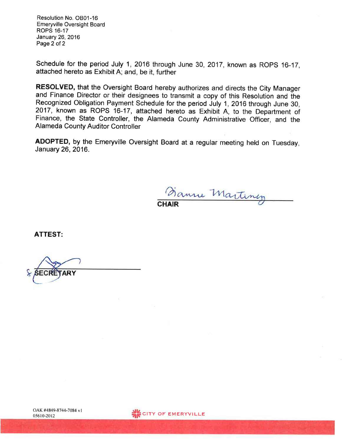Resolution No. OB01-16 **Emeryville Oversight Board ROPS 16-17** January 26, 2016 Page 2 of 2

Schedule for the period July 1, 2016 through June 30, 2017, known as ROPS 16-17, attached hereto as Exhibit A; and, be it, further

RESOLVED, that the Oversight Board hereby authorizes and directs the City Manager and Finance Director or their designees to transmit a copy of this Resolution and the Recognized Obligation Payment Schedule for the period July 1, 2016 through June 30, 2017, known as ROPS 16-17, attached hereto as Exhibit A, to the Department of Finance, the State Controller, the Alameda County Administrative Officer, and the **Alameda County Auditor Controller** 

ADOPTED, by the Emeryville Oversight Board at a regular meeting held on Tuesday, January 26, 2016.

anne Martinez

**ATTEST:** 

**ARY** 

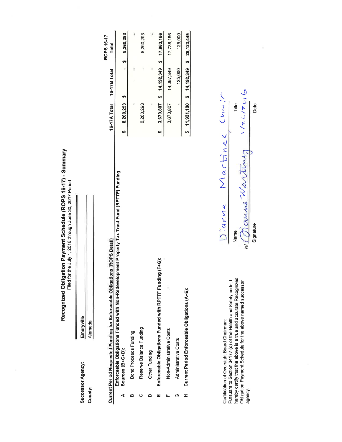Recognized Obligation Payment Schedule (ROPS 16-17) - Summary<br>Filed for the July 1, 2016 through June 30, 2017 Period

I

|         | Successor Agency:        | Emeryville                                                                                    |                                           |                                       |               |
|---------|--------------------------|-----------------------------------------------------------------------------------------------|-------------------------------------------|---------------------------------------|---------------|
| County: |                          | Alameda                                                                                       |                                           |                                       |               |
|         |                          |                                                                                               |                                           |                                       | ROPS 16-17    |
|         |                          | Current Period Requested Funding for Enforceable Obligations (ROPS Detail)                    | 16-17A Total                              | 16-17B Total                          | <b>Total</b>  |
|         | Sources (B+C+D):         | Enforceable Obligations Funded with Non-Redevelopment Property Tax Trust Fund (RPTTF) Funding |                                           |                                       |               |
|         |                          |                                                                                               | 8,260,293<br>s,                           | <b>u</b>                              | $-58,260,293$ |
| ≃       | Bond Proceeds Funding    |                                                                                               |                                           |                                       | 1             |
| ပ       | Reserve Balance Funding  |                                                                                               | 8,260,293                                 |                                       | 8,260,293     |
|         | Other Funding            |                                                                                               |                                           |                                       | 1             |
| ш       |                          | Enforceable Obligations Funded with RPTTF Funding (F+G):                                      | 5                                         | 3,670,807 \$ 14,192,349 \$ 17,863,156 |               |
|         | Non-Administrative Costs |                                                                                               | 3,670,807                                 | 14,067,349                            | 17,738,156    |
| ৩       | Administrative Costs     |                                                                                               |                                           | 125,000                               | 125,000       |
| I       |                          | Current Period Enforceable Obligations (A+E):                                                 | $$11,931,100$ $$14,192,349$ $$26,123,449$ |                                       |               |
|         |                          |                                                                                               |                                           |                                       |               |

Certification of Oversight Board Chairman:<br>Pursuant to Section 34177 (o) of the Health and Safety code, I<br>hereby certify that the above is a true and accurate Recognized<br>Obligation Payment Schedule for the above named succ agency.

 $6/26/2016$ Martinez Chair Title Date maure Martiney Dianne Signature Name  $|s|$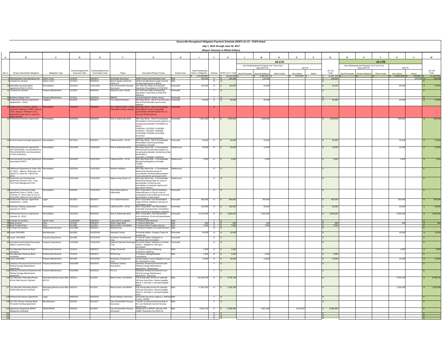|              | Emeryville Recognized Obligation Payment Schedule (ROPS 16-17) - ROPS Detail<br>July 1, 2016 through June 30, 2017                                              |                                                  |                                             |                                               |                                                      |                                                                                                                                                                                                    |                          |                                                               |                      |                                                          |       |                                                          |                    |                        |       |                               |               |                                                          |                    |                         |                  |                 |                  |
|--------------|-----------------------------------------------------------------------------------------------------------------------------------------------------------------|--------------------------------------------------|---------------------------------------------|-----------------------------------------------|------------------------------------------------------|----------------------------------------------------------------------------------------------------------------------------------------------------------------------------------------------------|--------------------------|---------------------------------------------------------------|----------------------|----------------------------------------------------------|-------|----------------------------------------------------------|--------------------|------------------------|-------|-------------------------------|---------------|----------------------------------------------------------|--------------------|-------------------------|------------------|-----------------|------------------|
|              | (Report Amounts in Whole Dollars)                                                                                                                               |                                                  |                                             |                                               |                                                      |                                                                                                                                                                                                    |                          |                                                               |                      |                                                          |       |                                                          |                    |                        |       |                               |               |                                                          |                    |                         |                  |                 |                  |
| $\mathbf{A}$ |                                                                                                                                                                 |                                                  |                                             |                                               |                                                      |                                                                                                                                                                                                    |                          |                                                               |                      |                                                          |       |                                                          | 16-17A             |                        |       |                               |               |                                                          | 16-17B             |                         |                  |                 |                  |
|              |                                                                                                                                                                 |                                                  |                                             |                                               |                                                      |                                                                                                                                                                                                    |                          |                                                               |                      |                                                          |       | Non-Redevelopment Property Tax Trust Fund<br>(Non-RPTTF) |                    | <b>RPTTF</b>           |       |                               |               | Non-Redevelopment Property Tax Trust Fund<br>(Non-RPTTF) |                    | <b>RPTTF</b>            |                  |                 |                  |
| Item #       | <b>Project Name/Debt Obligation</b>                                                                                                                             | <b>Obligation Type</b>                           | Contract/Agreement<br><b>Execution Date</b> | Contract/Agreement<br><b>Termination Date</b> | Payee                                                | <b>Description/Project Scope</b>                                                                                                                                                                   | Project Area             | <b>Total Outstanding</b><br>Debt or Obligation<br>174,443,835 |                      | Retired   ROPS 16-17 Total Bond Proceeds  <br>26,123,449 |       | Reserve Balance<br>8,260,293                             | <b>Other Funds</b> | Non-Admin<br>3,670,807 | Admin | 16-17A<br>Total<br>11,931,100 | Bond Proceeds | Reserve Balance                                          | <b>Other Funds</b> | Non-Admin<br>14,067,349 | Admin<br>125,000 | 16-17B<br>Total | 14,192,349       |
|              | 1 Administrative Cost Allowance Per   Admin Costs<br>4 Contract for services                                                                                    | Admin Costs                                      | 1/1/2015<br>1/1/2015                        | 6/30/2017<br>6/30/2016                        | <b>Emeryville Successor</b><br>Renne Sloane Holtzman | ADM-Finance Administrative Cost<br>ADM-Oversight Board Legal Counsel                                                                                                                               | <b>Both</b>              | 250,000                                                       |                      | 250,000                                                  |       | 125.000                                                  |                    |                        |       | 125,000                       |               |                                                          |                    |                         | 125,000          |                 | 125,000          |
|              | 10 Affordable Housing Option                                                                                                                                    | Remediation                                      | 2/15/2011                                   | 12/31/2023                                    | İSakai LLP<br>City of Emeryville-Housing             | Provide legal advice to Board<br>AH-3706 San Pablo Avenue/1025<br>MacArthur Remediation of 3706 SPA                                                                                                | Emeryville               | 100,000                                                       |                      | 100,000                                                  |       | 50,000                                                   |                    |                        |       | 50,000                        |               |                                                          |                    | 50,000                  |                  |                 | 50,000           |
|              | Agreement (Feb 15, 2011)<br>11 Contract for services                                                                                                            | <b>Property Maintenance</b>                      | 1/1/2015                                    | 6/30/2016                                     | Successor<br>National Const. Rental                  | AH-3706 San Pablo Avenue/1025<br>MacArthur Temp Pole at 3706 SPA-                                                                                                                                  | Emeryville               |                                                               | <b>Y</b>             |                                                          |       |                                                          |                    |                        |       |                               |               |                                                          |                    |                         |                  |                 |                  |
|              | 34 Building Holding Costs<br>39 Professional Services Agreement                                                                                                 | <b>Property Maintenance</b><br>Litigation        | 7/1/2014<br>9/1/2010                        | 6/30/2016<br>6/30/2017                        | EBMUD<br>Cox Castle Nicholsen                        | Billboard<br>Vacant properties Water service<br><b>ENV-Bay Street - Site B Cost Recovery Emeryville</b>                                                                                            | Emervville               | 50,000                                                        | $\mathsf{Y}$         | 50,000                                                   |       | 25,000                                                   |                    |                        |       | 25,000                        |               |                                                          |                    | 25,000                  |                  |                 | 25,000           |
|              | $\sqrt{\text{September 1, 2010}}$                                                                                                                               |                                                  |                                             |                                               |                                                      | Site B environmental cost recovery                                                                                                                                                                 |                          |                                                               |                      |                                                          |       |                                                          |                    |                        |       |                               |               |                                                          |                    |                         |                  |                 |                  |
|              | 40 Settlements w/ Chevron, Adams,<br>Koeckritz, Robinson, UPRR (July 23,<br>[2010); Agency v Robinson et.al.;<br>Alameda County Sup Ct, Case No.<br>RG06-267594 | Remediation                                      | 7/23/2010                                   | 6/30/2016                                     |                                                      | EKI, California EPA - DTSC, ENV-Bay Street - Site B Groundwater<br>Clearwater & other vendors   Remediation Costs to remediate<br>groundwater beneath Site B from on-<br>site and off-site sources | Emerville                |                                                               | N                    |                                                          |       |                                                          |                    |                        |       |                               |               |                                                          |                    |                         |                  |                 |                  |
|              | 41 Professional Services Agreement                                                                                                                              | Remediation                                      | 10/6/2004                                   | 6/30/2023                                     | Erler & Kalinowski (EKI)                             | <b>ENV-Bay Street - Site B Groundwater</b><br>Remediation Environmental engineer re<br>on-going groundwater remediation at<br>Site B                                                               | Emervville               | 4,391,000                                                     | N.                   | 1,500,000                                                |       | 1,000,000                                                |                    |                        |       | 1,000,000                     |               |                                                          |                    | 500,000                 |                  |                 | 500,000          |
|              |                                                                                                                                                                 |                                                  |                                             |                                               |                                                      | 10/6/2004; 12/2/2005; 5/19/2006;<br>2/16/2007; 2/19/2007; 6/9/2008;<br>12/15/2008; 5/5/2009; 8/11/2009;<br>3/17/2010;<br>4/18/2011:6/18/2013:6/16/2015                                             |                          |                                                               |                      |                                                          |       |                                                          |                    |                        |       |                               |               |                                                          |                    |                         |                  |                 |                  |
|              | 43 Environmental Oversight Agreement Remediation                                                                                                                |                                                  | 6/27/2011                                   | 6/30/2017                                     | California EPA - DTSC                                | <b>ENV-Bay Street - Site B Groundwater</b>   Emeryville<br>Remediation Site B groundwater<br>remediation oversight                                                                                 |                          | 50,000                                                        |                      | 50,000                                                   |       | 25,000                                                   |                    |                        |       | 25,000                        |               |                                                          |                    | 25,000                  |                  |                 | 25,000           |
|              | 44 Professional Services Agreement<br>$PSA (3/31/2003);$ 1st Amendment to<br>$PSA (04/20/2004);$ 2nd Amendment<br>to PSA (10/5/2011)                            | Remediation                                      | 3/31/2003                                   | 12/31/2022                                    | Erler & Kalinowski (EKI)                             | ENV-Bay Street Site - A Groundwater<br>Monitoring Environmental engineer re<br>on-going groundwater monitoring at Bay<br>Street/Site A<br>3/31/2003; 4/20/2004; 10/5/2011                          | Shellmound               | 25,000                                                        |                      | 25,000                                                   |       | 12.500                                                   |                    |                        |       | 12,500                        |               |                                                          |                    | 12,500                  |                  |                 | 12,500           |
|              | 45 Environmental Oversight Agreement Remediation<br>(Amended 3/13/07)                                                                                           |                                                  | 3/13/2007                                   | 12/31/2022                                    | California EPA - DTSC                                | <b>ENV-Bay Street Site - A Groundwater</b><br>Monitoring Regulatory Oversight<br>7/20/98<br>12/31/22                                                                                               | Shellmound               | 5,000                                                         |                      | 5.000                                                    |       | 2.500                                                    |                    |                        |       | 2,500                         |               |                                                          |                    | 2,500                   |                  |                 | 2,500            |
|              | 46 Settlement Agreement & Order (Feb Remediation<br>$23, 2001$ - Agency v Elementis; US<br>District Ct, Case No. C99-03719                                      |                                                  | 2/23/2001                                   | 12/31/2022                                    | Sherwin Williams                                     | <b>ENV-Bay Street Site - A Groundwater</b><br>Monitoring Reimbursement of<br>Groundwater Monitoring/Remediation<br>Costs w/credit for sums paid to EKI                                             | Shellmound               |                                                               | N.                   | $\mathbf{C}$                                             |       |                                                          |                    |                        |       |                               |               |                                                          |                    |                         |                  |                 |                  |
|              | 47 Disposition and Development<br>Agreement (Section 212) - Long<br>Term Risk Management Plan                                                                   | Remediation                                      | 9/23/1999                                   | 12/31/2022                                    | Madison Bay Street LLC                               | ENV-Bay Street Site - A Groundwater<br>Monitoring Responsible for costs of<br>groundwater monitoring and<br>remediation as between Agency and<br><b>Bay Street Partners</b>                        | Shellmound               |                                                               | N.                   | $\sqrt{2}$                                               |       |                                                          |                    |                        |       |                               |               |                                                          |                    |                         |                  |                 |                  |
|              | 48 City/Agency Purchase & Sale<br>Agreement (June 4, 2009) - Corp<br>Yard/Jan 27, 2012 Claim of City of<br>Emeryville-California Tort Claim Act                 | Remediation                                      | 6/4/2009                                    | 12/31/2015                                    | City of Emeryville as<br>Indemnitee                  | <b>ENV-Corporation Yard Remediation</b><br>Indemnification of City for costs of<br>remediation and monitoring of soil and<br>groundwater contamination                                             | Emeryville               |                                                               | $N$ $\vert$ \$       |                                                          |       |                                                          |                    |                        |       |                               |               |                                                          |                    |                         |                  |                 |                  |
|              | 49 Professional Services Agreement<br>$\sqrt{\text{September 1, 2010}}$                                                                                         | Legal                                            | 9/1/2010                                    | 6/30/2017                                     | Cox Castle Nicholsen                                 | <b>ENV-Corporation Yard Remediation</b><br>Legal services relating to recovery of<br>remediation costs                                                                                             | Emeryville               | 500,000                                                       | - ND                 | 500,000                                                  |       | 250,000                                                  |                    |                        |       | 250,000                       |               |                                                          |                    | 250,000                 |                  |                 | 250,000          |
|              | 50 Voluntary Cleanup Agreement<br>(January 31, 2012)                                                                                                            | Remediation                                      | 1/31/2012                                   | 6/30/2017                                     | California EPA - DTSC                                | <b>ENV-Corporation Yard Remediation</b><br>Oversight of assessment, remediation<br>and monitoring of hazardous materials                                                                           | Emeryville               | 100,000                                                       | - N                  | 100,000                                                  |       | 50,000                                                   |                    |                        |       | 50,000                        |               |                                                          |                    | 50,000                  |                  |                 | 50,000           |
|              | 51 Professional Services Agreement<br>$\sqrt{\frac{1}{2}}$ (January 31, 2012)                                                                                   | Remediation                                      | 1/31/2012                                   | 6/30/2023                                     | Erler & Kalinowski (EKI)                             | <b>ENV-Corporation Yard Remediation</b><br>and monitoring of soil and groundwater<br>contamination                                                                                                 | Emeryville               | 15,515,000                                                    |                      | 4,000,000                                                |       | 2,000,000                                                |                    |                        |       | 2,000,000                     |               |                                                          |                    | 2,000,000               |                  |                 | 2,000,000        |
|              | 62 Contract for services                                                                                                                                        | Admin Costs                                      | 11/30/2009                                  | 6/30/2016                                     | Lance Soll & Lunghard                                | F-Finance Audit Services                                                                                                                                                                           |                          |                                                               |                      |                                                          |       |                                                          |                    |                        |       |                               |               |                                                          |                    |                         |                  |                 |                  |
|              | 63 Bank account<br>64 Bond Trustee Fees                                                                                                                         | Fees<br>Fees                                     | 1/1/2015<br>9/1/1995                        | 6/30/2017<br>9/1/2034                         | Wells Fargo Bank<br><b>Bank of New York Mellon</b>   | F-Finance Bank fees<br>F-Finance Bond Trustee services                                                                                                                                             |                          | 600<br>7.500                                                  |                      | 7.500                                                    | 600   | 300 <sup>1</sup><br>7.500                                |                    |                        |       | 7.500                         |               |                                                          |                    | 300                     |                  |                 | $\overline{300}$ |
|              | 67 Contract for services                                                                                                                                        | <b>Professional Services</b>                     | 1/12/1990                                   | 6/30/2017                                     | MuniServices                                         | F-Finance Property Tax Audit Services   Both                                                                                                                                                       |                          |                                                               |                      |                                                          |       |                                                          |                    |                        |       |                               |               |                                                          |                    |                         |                  |                 |                  |
|              | 80 Lease (3/2/1993)<br>81 Lease (3/2/1993)                                                                                                                      | Miscellaneous<br><b>Property Dispositions</b>    | 3/2/1993<br>3/2/1993                        | 10/15/2018<br>10/15/2018                      | <b>Alameda County</b><br>Wareham Development         | PI-Amtrak Station Property Taxes for<br><b>Amtrak Stn</b><br>PI-Amtrak Station Obligation to                                                                                                       | Emeryville<br>Emeryville | 45,000                                                        |                      | 15,000                                                   |       |                                                          |                    |                        |       |                               |               |                                                          |                    | 15,000                  |                  |                 | 15,000           |
|              | 82 Amended and Restated Passenger                                                                                                                               | <b>Property Dispositions</b>                     | 1/19/2000                                   | 10/15/2018                                    | National Railroad Passeng                            | purchase upon termination<br>TPI-Amtrak Station Sublease of Amtrak                                                                                                                                 | Emeryville               |                                                               |                      |                                                          |       |                                                          |                    |                        |       |                               |               |                                                          |                    |                         |                  |                 |                  |
|              | Station Lease/Purchase<br>103 Tax Allocation Revenue Bond                                                                                                       | <b>Professional Services</b>                     | 7/1/2014                                    | 6/30/2017                                     | Wildan Financial                                     | station - obligation to sell upon<br><u>terminatior</u><br>F-Finance Annual Continuing                                                                                                             | Both                     | 2,500                                                         |                      |                                                          | 2,500 |                                                          |                    |                        |       |                               |               |                                                          |                    | 2,500                   |                  |                 | 2,500            |
|              | covenants<br>104 Tax Allocation Revenue Bond                                                                                                                    | <b>Professional Services</b>                     | 7/1/2014                                    | 6/30/2017                                     | <b>PFM</b> Group                                     | Disclosure reporting<br>F-Finance Arbitrage/Rebate                                                                                                                                                 |                          | 2,500                                                         |                      |                                                          | 2,500 | 2,500                                                    |                    |                        |       | 2,500                         |               |                                                          |                    |                         |                  |                 |                  |
|              | covenants<br>108 Lease (3/2/1993)                                                                                                                               | <b>Property Maintenance</b>                      | 3/2/1993                                    | 10/15/2018                                    | Wareham Development                                  | calculations<br>Amtrak Station Lease-Obligation to pay                                                                                                                                             |                          | 75,000                                                        |                      | 25,000                                                   |       | 12,500                                                   |                    |                        |       | 12,500                        |               |                                                          |                    | 12,500                  |                  |                 | 12,500           |
|              | 111 Glashaus Reciprocal Easement and Property Maintenance<br>Parking Garage Maintenance                                                                         |                                                  | 9/16/2008                                   | 6/30/2016                                     | Glashaus Owners<br>Association                       | for maintenance costs<br>Glashaus Reciprocal Easement and<br>Parking Garage Maintenance                                                                                                            |                          |                                                               | $\mathsf{Y}$         |                                                          |       |                                                          |                    |                        |       |                               |               |                                                          |                    |                         |                  |                 |                  |
|              | 112 Glashaus Reciprocal Easement and Property Maintenance<br>Parking Garage Maintenance                                                                         |                                                  | 9/16/2008                                   | 6/30/2016                                     | PG & E                                               | Agreement - Maintenance<br>Glashaus Reciprocal Easement and<br>Parking Garage Maintenance                                                                                                          |                          |                                                               | Y                    |                                                          |       |                                                          |                    |                        |       |                               |               |                                                          |                    |                         |                  |                 |                  |
|              | Agreement<br>16 Tax Allocation Refunding Bonds,<br>2014A Debt Service Payment                                                                                   | Refunding Bonds Issued After 9/3/2014<br>6/27/12 |                                             | 9/1/2034                                      | Bank of New York Mellon                              | Agreement - Electricity<br>Full annual debt service for calendar<br>2015 per bond docs. Interest payable<br>March 1 and Sept 1, principal payable                                                  |                          | 126,148,700                                                   |                      | 9,765,750                                                |       |                                                          |                    |                        |       |                               |               |                                                          |                    | 9,765,750               |                  |                 | 9,765,750        |
|              | 17 Tax Allocation Refunding Bonds,<br>2014B Debt Service Payment                                                                                                | Refunding Bonds Issued After 9/3/2014<br>6/27/12 |                                             | 9/1/2031                                      | Bank of New York Mellon                              | Sept ′<br>Full annual debt service for calendar<br>2015 per bond docs. Interest payable<br>March 1 and Sept 1, principal payable                                                                   |                          | 17,583,303                                                    |                      | 1,356,299                                                |       |                                                          |                    |                        |       |                               |               |                                                          |                    | 1,356,299               |                  |                 | 1,356,299        |
|              | 118 Professional Service Agreement                                                                                                                              | Legal                                            | 8/30/2010                                   | 6/30/2016                                     | Burke Williams Sorenson                              | Emeryville Successor Agency v. Michael Both<br>Cohen; LRPMP                                                                                                                                        |                          |                                                               | <b>Y</b>             |                                                          |       |                                                          |                    |                        |       |                               |               |                                                          |                    |                         |                  |                 |                  |
|              | 119 Pre-2011 Excess Housing Bond<br><b>Proceeds Funding Agreement</b>                                                                                           | Miscellaneous                                    | 2/3/2015                                    | 8/31/2017                                     | City of Emeryville Housing<br>Successor              | $\vert$ Transfer of excess bond proceeds to $\vert$ Both<br>the Low Moderate Income Housing<br>Asset Fund                                                                                          |                          |                                                               |                      |                                                          |       |                                                          |                    |                        |       |                               |               |                                                          |                    |                         |                  |                 |                  |
| $-121$       | 120 Agreement Regarding SERAF<br>Repayment Schedule                                                                                                             | SERAF/ERAF                                       | 2/3/2015                                    | 9/1/2034                                      | City of Emeryville Housing<br>Successor              | Repayment of SERAF shift per HSC Both<br>33690- Resolution No RD19-10                                                                                                                              |                          | 9,592,732                                                     | N.                   | 8,368,300<br>$\overline{S}$                              |       | 4,697,493                                                |                    | 3,670,807              |       | 8,368,300                     |               |                                                          |                    |                         |                  |                 |                  |
| - 1231       |                                                                                                                                                                 |                                                  |                                             |                                               |                                                      |                                                                                                                                                                                                    |                          |                                                               | $N$   \$<br>$N$   \$ |                                                          |       |                                                          |                    |                        |       |                               |               |                                                          |                    |                         |                  |                 |                  |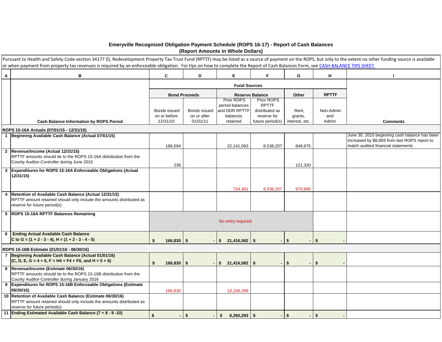|              |                                                                                                                                                                                                                   |                              |                             | (Report Amounts in Whole Dollars) |                               |                  |                  |                                               |
|--------------|-------------------------------------------------------------------------------------------------------------------------------------------------------------------------------------------------------------------|------------------------------|-----------------------------|-----------------------------------|-------------------------------|------------------|------------------|-----------------------------------------------|
|              | Pursuant to Health and Safety Code section 34177 (I), Redevelopment Property Tax Trust Fund (RPTTF) may be listed as a source of payment on the ROPS, but only to the extent no other funding source is available |                              |                             |                                   |                               |                  |                  |                                               |
|              | or when payment from property tax revenues is required by an enforceable obligation. For tips on how to complete the Report of Cash Balances Form, see CASH BALANCE TIPS SHEET                                    |                              |                             |                                   |                               |                  |                  |                                               |
| A            | B                                                                                                                                                                                                                 | $\mathbf{C}$                 | D                           | Е                                 | Е                             | G                | н                |                                               |
|              |                                                                                                                                                                                                                   |                              |                             | <b>Fund Sources</b>               |                               |                  |                  |                                               |
|              |                                                                                                                                                                                                                   |                              | <b>Bond Proceeds</b>        |                                   | <b>Reserve Balance</b>        | <b>Other</b>     | <b>RPTTF</b>     |                                               |
|              |                                                                                                                                                                                                                   |                              |                             | <b>Prior ROPS</b>                 | <b>Prior ROPS</b>             |                  |                  |                                               |
|              |                                                                                                                                                                                                                   |                              |                             | period balances                   | <b>RPTTF</b>                  |                  |                  |                                               |
|              |                                                                                                                                                                                                                   | Bonds issued<br>on or before | Bonds issued<br>on or after | and DDR RPTTF<br>balances         | distributed as<br>reserve for | Rent,<br>grants, | Non-Admin<br>and |                                               |
|              | <b>Cash Balance Information by ROPS Period</b>                                                                                                                                                                    | 12/31/10                     | 01/01/11                    | retained                          | future period(s)              | interest, etc.   | Admin            | <b>Comments</b>                               |
|              | ROPS 15-16A Actuals (07/01/15 - 12/31/15)                                                                                                                                                                         |                              |                             |                                   |                               |                  |                  |                                               |
|              | Beginning Available Cash Balance (Actual 07/01/15)                                                                                                                                                                |                              |                             |                                   |                               |                  |                  | June 30, 2015 beginning cash balance has been |
|              |                                                                                                                                                                                                                   |                              |                             |                                   |                               |                  |                  | increased by \$8,869 from last ROPS report to |
|              |                                                                                                                                                                                                                   | 166,594                      |                             | 22,141,063                        | 8,538,207                     | 849,675          |                  | match audited financial statements            |
| $\mathbf{2}$ | Revenue/Income (Actual 12/31/15)<br>RPTTF amounts should tie to the ROPS 15-16A distribution from the                                                                                                             |                              |                             |                                   |                               |                  |                  |                                               |
|              | County Auditor-Controller during June 2015                                                                                                                                                                        |                              |                             |                                   |                               |                  |                  |                                               |
| 3            | Expenditures for ROPS 15-16A Enforceable Obligations (Actual                                                                                                                                                      | 236                          |                             |                                   |                               | 121,320          |                  |                                               |
|              | 12/31/15                                                                                                                                                                                                          |                              |                             |                                   |                               |                  |                  |                                               |
|              |                                                                                                                                                                                                                   |                              |                             |                                   |                               |                  |                  |                                               |
|              |                                                                                                                                                                                                                   |                              |                             | 724,481                           | 8,538,207                     | 970,995          |                  |                                               |
| 4            | Retention of Available Cash Balance (Actual 12/31/15)                                                                                                                                                             |                              |                             |                                   |                               |                  |                  |                                               |
|              | RPTTF amount retained should only include the amounts distributed as<br>reserve for future period(s)                                                                                                              |                              |                             |                                   |                               |                  |                  |                                               |
|              | 5 ROPS 15-16A RPTTF Balances Remaining                                                                                                                                                                            |                              |                             |                                   |                               |                  |                  |                                               |
|              |                                                                                                                                                                                                                   |                              |                             | No entry required                 |                               |                  |                  |                                               |
|              |                                                                                                                                                                                                                   |                              |                             |                                   |                               |                  |                  |                                               |
|              | 6 Ending Actual Available Cash Balance                                                                                                                                                                            |                              |                             |                                   |                               |                  |                  |                                               |
|              | C to G = $(1 + 2 - 3 - 4)$ , H = $(1 + 2 - 3 - 4 - 5)$                                                                                                                                                            | $166,830$ \$<br>\$           |                             | $\frac{1}{2}$ 21,416,582 \ \$     |                               | l \$             | -   \$           |                                               |
|              | ROPS 15-16B Estimate (01/01/16 - 06/30/16)                                                                                                                                                                        |                              |                             |                                   |                               |                  |                  |                                               |
|              | Beginning Available Cash Balance (Actual 01/01/16)                                                                                                                                                                |                              |                             |                                   |                               |                  |                  |                                               |
|              | $(C, D, E, G = 4 + 6, F = H4 + F4 + F6, and H = 5 + 6)$                                                                                                                                                           | $166,830$   \$               |                             | $21,416,582$ \$<br>$\mathbf{\$}$  |                               | -\$              | $\sqrt{2}$       |                                               |
|              | 8  Revenue/Income (Estimate 06/30/16)                                                                                                                                                                             |                              |                             |                                   |                               |                  |                  |                                               |
|              | RPTTF amounts should tie to the ROPS 15-16B distribution from the                                                                                                                                                 |                              |                             |                                   |                               |                  |                  |                                               |
|              | County Auditor-Controller during January 2016                                                                                                                                                                     |                              |                             |                                   |                               |                  |                  |                                               |
|              | <b>Expenditures for ROPS 15-16B Enforceable Obligations (Estimate</b><br>06/30/16)                                                                                                                                |                              |                             |                                   |                               |                  |                  |                                               |
|              | 10 Retention of Available Cash Balance (Estimate 06/30/16)                                                                                                                                                        | 166,830                      |                             | 13,156,289                        |                               |                  |                  |                                               |
|              | RPTTF amount retained should only include the amounts distributed as                                                                                                                                              |                              |                             |                                   |                               |                  |                  |                                               |
|              | reserve for future period(s)                                                                                                                                                                                      |                              |                             |                                   |                               |                  |                  |                                               |
| 11           | Ending Estimated Available Cash Balance (7 + 8 - 9 -10)                                                                                                                                                           |                              | \$                          | $8,260,293$ \$<br>\$              |                               |                  |                  |                                               |

## **Emeryville Recognized Obligation Payment Schedule (ROPS 16-17) - Report of Cash Balances**